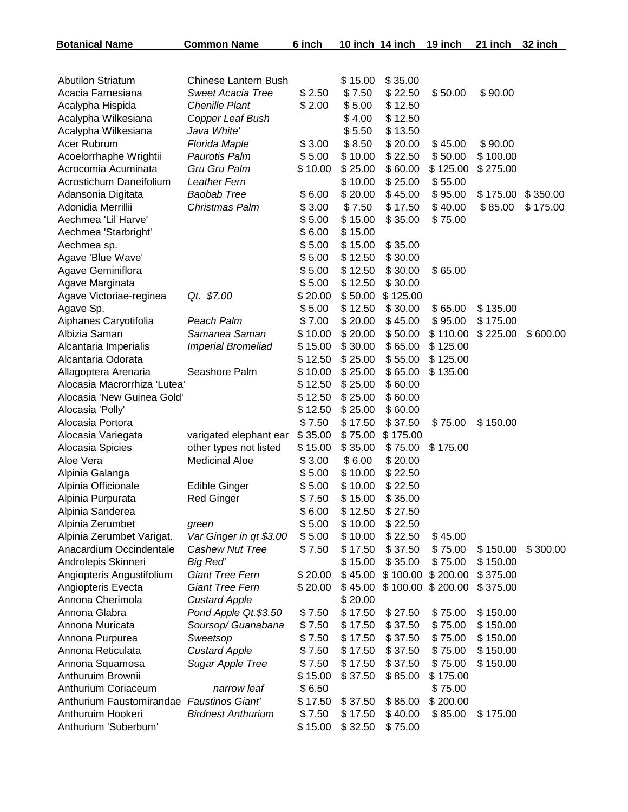| <b>Botanical Name</b>                     | <b>Common Name</b>          | 6 inch  |         | 10 inch 14 inch | 19 inch  | 21 inch  | 32 inch  |
|-------------------------------------------|-----------------------------|---------|---------|-----------------|----------|----------|----------|
|                                           |                             |         |         |                 |          |          |          |
| <b>Abutilon Striatum</b>                  | <b>Chinese Lantern Bush</b> |         | \$15.00 | \$35.00         |          |          |          |
| Acacia Farnesiana                         | <b>Sweet Acacia Tree</b>    | \$2.50  | \$7.50  | \$22.50         | \$50.00  | \$90.00  |          |
| Acalypha Hispida                          | <b>Chenille Plant</b>       | \$2.00  | \$5.00  | \$12.50         |          |          |          |
| Acalypha Wilkesiana                       | Copper Leaf Bush            |         | \$4.00  | \$12.50         |          |          |          |
| Acalypha Wilkesiana                       | Java White'                 |         | \$5.50  | \$13.50         |          |          |          |
| Acer Rubrum                               | Florida Maple               | \$3.00  | \$8.50  | \$20.00         | \$45.00  | \$90.00  |          |
| Acoelorrhaphe Wrightii                    | Paurotis Palm               | \$5.00  | \$10.00 | \$22.50         | \$50.00  | \$100.00 |          |
| Acrocomia Acuminata                       | Gru Gru Palm                | \$10.00 | \$25.00 | \$60.00         | \$125.00 | \$275.00 |          |
| Acrostichum Daneifolium                   | <b>Leather Fern</b>         |         | \$10.00 | \$25.00         | \$55.00  |          |          |
| Adansonia Digitata                        | <b>Baobab Tree</b>          | \$6.00  | \$20.00 | \$45.00         | \$95.00  | \$175.00 | \$350.00 |
| Adonidia Merrillii                        | Christmas Palm              | \$3.00  | \$7.50  | \$17.50         | \$40.00  | \$85.00  | \$175.00 |
| Aechmea 'Lil Harve'                       |                             | \$5.00  | \$15.00 | \$35.00         | \$75.00  |          |          |
| Aechmea 'Starbright'                      |                             | \$6.00  | \$15.00 |                 |          |          |          |
| Aechmea sp.                               |                             | \$5.00  | \$15.00 | \$35.00         |          |          |          |
| Agave 'Blue Wave'                         |                             | \$5.00  | \$12.50 | \$30.00         |          |          |          |
| Agave Geminiflora                         |                             | \$5.00  | \$12.50 | \$30.00         | \$65.00  |          |          |
| Agave Marginata                           |                             | \$5.00  | \$12.50 | \$30.00         |          |          |          |
| Agave Victoriae-reginea                   | Qt. \$7.00                  | \$20.00 | \$50.00 | \$125.00        |          |          |          |
| Agave Sp.                                 |                             | \$5.00  | \$12.50 | \$30.00         | \$65.00  | \$135.00 |          |
| Aiphanes Caryotifolia                     | Peach Palm                  | \$7.00  | \$20.00 | \$45.00         | \$95.00  | \$175.00 |          |
| Albizia Saman                             | Samanea Saman               | \$10.00 | \$20.00 | \$50.00         | \$110.00 | \$225.00 | \$600.00 |
| Alcantaria Imperialis                     | Imperial Bromeliad          | \$15.00 | \$30.00 | \$65.00         | \$125.00 |          |          |
| Alcantaria Odorata                        |                             | \$12.50 | \$25.00 | \$55.00         | \$125.00 |          |          |
| Allagoptera Arenaria                      | Seashore Palm               | \$10.00 | \$25.00 | \$65.00         | \$135.00 |          |          |
| Alocasia Macrorrhiza 'Lutea'              |                             | \$12.50 | \$25.00 | \$60.00         |          |          |          |
| Alocasia 'New Guinea Gold'                |                             | \$12.50 | \$25.00 | \$60.00         |          |          |          |
| Alocasia 'Polly'                          |                             | \$12.50 | \$25.00 | \$60.00         |          |          |          |
| Alocasia Portora                          |                             | \$7.50  | \$17.50 | \$37.50         | \$75.00  | \$150.00 |          |
| Alocasia Variegata                        | varigated elephant ear      | \$35.00 | \$75.00 | \$175.00        |          |          |          |
| Alocasia Spicies                          | other types not listed      | \$15.00 | \$35.00 | \$75.00         | \$175.00 |          |          |
| Aloe Vera                                 | <b>Medicinal Aloe</b>       | \$3.00  | \$6.00  | \$20.00         |          |          |          |
| Alpinia Galanga                           |                             | \$5.00  | \$10.00 | \$22.50         |          |          |          |
| Alpinia Officionale                       | <b>Edible Ginger</b>        | \$5.00  | \$10.00 | \$22.50         |          |          |          |
| Alpinia Purpurata                         | <b>Red Ginger</b>           | \$7.50  | \$15.00 | \$35.00         |          |          |          |
| Alpinia Sanderea                          |                             | \$6.00  | \$12.50 | \$27.50         |          |          |          |
| Alpinia Zerumbet                          | green                       | \$5.00  | \$10.00 | \$22.50         |          |          |          |
| Alpinia Zerumbet Varigat.                 | Var Ginger in qt \$3.00     | \$5.00  | \$10.00 | \$22.50         | \$45.00  |          |          |
| Anacardium Occindentale                   | Cashew Nut Tree             | \$7.50  | \$17.50 | \$37.50         | \$75.00  | \$150.00 | \$300.00 |
| Androlepis Skinneri                       | <b>Big Red'</b>             |         | \$15.00 | \$35.00         | \$75.00  | \$150.00 |          |
| Angiopteris Angustifolium                 | <b>Giant Tree Fern</b>      | \$20.00 | \$45.00 | \$100.00        | \$200.00 | \$375.00 |          |
| Angiopteris Evecta                        | <b>Giant Tree Fern</b>      | \$20.00 | \$45.00 | \$100.00        | \$200.00 | \$375.00 |          |
| Annona Cherimola                          | <b>Custard Apple</b>        |         | \$20.00 |                 |          |          |          |
| Annona Glabra                             | Pond Apple Qt.\$3.50        | \$7.50  | \$17.50 | \$27.50         | \$75.00  | \$150.00 |          |
| Annona Muricata                           | Soursop/ Guanabana          | \$7.50  | \$17.50 | \$37.50         | \$75.00  | \$150.00 |          |
| Annona Purpurea                           | Sweetsop                    | \$7.50  | \$17.50 | \$37.50         | \$75.00  | \$150.00 |          |
| Annona Reticulata                         | <b>Custard Apple</b>        | \$7.50  | \$17.50 | \$37.50         | \$75.00  | \$150.00 |          |
| Annona Squamosa                           | <b>Sugar Apple Tree</b>     | \$7.50  | \$17.50 | \$37.50         | \$75.00  | \$150.00 |          |
| Anthuruim Brownii                         |                             | \$15.00 | \$37.50 | \$85.00         | \$175.00 |          |          |
| Anthurium Coriaceum                       | narrow leaf                 | \$6.50  |         |                 | \$75.00  |          |          |
| Anthurium Faustomirandae Faustinos Giant' |                             | \$17.50 | \$37.50 | \$85.00         | \$200.00 |          |          |
| Anthuruim Hookeri                         | <b>Birdnest Anthurium</b>   | \$7.50  | \$17.50 | \$40.00         | \$85.00  | \$175.00 |          |
| Anthurium 'Suberbum'                      |                             | \$15.00 | \$32.50 | \$75.00         |          |          |          |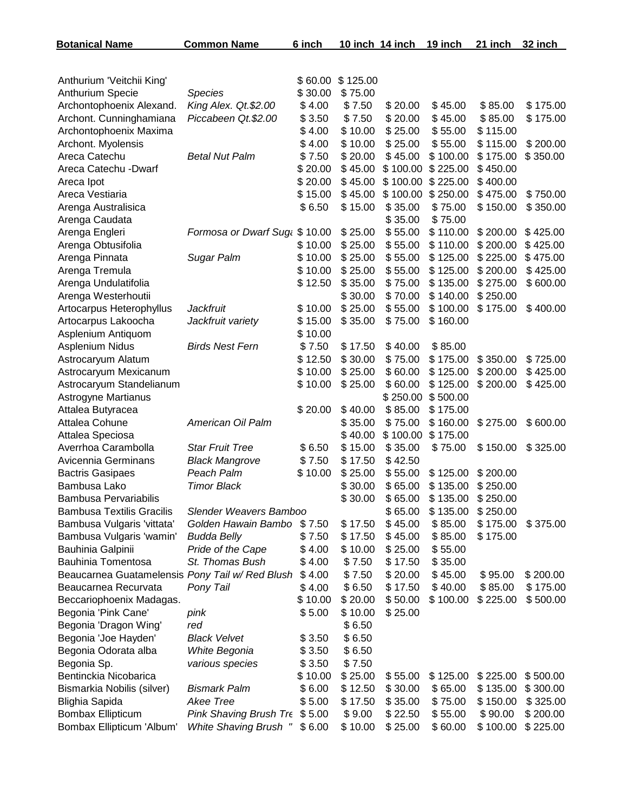| <b>Botanical Name</b>                           | <b>Common Name</b>           | 6 inch  | 10 inch 14 inch |          | 19 inch  | 21 inch  | 32 inch  |
|-------------------------------------------------|------------------------------|---------|-----------------|----------|----------|----------|----------|
|                                                 |                              |         |                 |          |          |          |          |
| Anthurium 'Veitchii King'                       |                              | \$60.00 | \$125.00        |          |          |          |          |
| Anthurium Specie                                | <b>Species</b>               | \$30.00 | \$75.00         |          |          |          |          |
| Archontophoenix Alexand.                        | King Alex. Qt.\$2.00         | \$4.00  | \$7.50          | \$20.00  | \$45.00  | \$85.00  | \$175.00 |
| Archont. Cunninghamiana                         | Piccabeen Qt.\$2.00          | \$3.50  | \$7.50          | \$20.00  | \$45.00  | \$85.00  | \$175.00 |
| Archontophoenix Maxima                          |                              | \$4.00  | \$10.00         | \$25.00  | \$55.00  | \$115.00 |          |
| Archont. Myolensis                              |                              | \$4.00  | \$10.00         | \$25.00  | \$55.00  | \$115.00 | \$200.00 |
| Areca Catechu                                   | <b>Betal Nut Palm</b>        | \$7.50  | \$20.00         | \$45.00  | \$100.00 | \$175.00 | \$350.00 |
| Areca Catechu - Dwarf                           |                              | \$20.00 | \$45.00         | \$100.00 | \$225.00 | \$450.00 |          |
| Areca Ipot                                      |                              | \$20.00 | \$45.00         | \$100.00 | \$225.00 | \$400.00 |          |
| Areca Vestiaria                                 |                              | \$15.00 | \$45.00         | \$100.00 | \$250.00 | \$475.00 | \$750.00 |
| Arenga Australisica                             |                              | \$6.50  | \$15.00         | \$35.00  | \$75.00  | \$150.00 | \$350.00 |
| Arenga Caudata                                  |                              |         |                 | \$35.00  | \$75.00  |          |          |
| Arenga Engleri                                  | Formosa or Dwarf Sug \$10.00 |         | \$25.00         | \$55.00  | \$110.00 | \$200.00 | \$425.00 |
| Arenga Obtusifolia                              |                              | \$10.00 | \$25.00         | \$55.00  | \$110.00 | \$200.00 | \$425.00 |
| Arenga Pinnata                                  | Sugar Palm                   | \$10.00 | \$25.00         | \$55.00  | \$125.00 | \$225.00 | \$475.00 |
| Arenga Tremula                                  |                              | \$10.00 | \$25.00         | \$55.00  | \$125.00 | \$200.00 | \$425.00 |
| Arenga Undulatifolia                            |                              | \$12.50 | \$35.00         | \$75.00  | \$135.00 | \$275.00 | \$600.00 |
| Arenga Westerhoutii                             |                              |         | \$30.00         | \$70.00  | \$140.00 | \$250.00 |          |
| Artocarpus Heterophyllus                        | <b>Jackfruit</b>             | \$10.00 | \$25.00         | \$55.00  | \$100.00 | \$175.00 | \$400.00 |
| Artocarpus Lakoocha                             | Jackfruit variety            | \$15.00 | \$35.00         | \$75.00  | \$160.00 |          |          |
| Asplenium Antiquom                              |                              | \$10.00 |                 |          |          |          |          |
| Asplenium Nidus                                 | <b>Birds Nest Fern</b>       | \$7.50  | \$17.50         | \$40.00  | \$85.00  |          |          |
| Astrocaryum Alatum                              |                              | \$12.50 | \$30.00         | \$75.00  | \$175.00 | \$350.00 | \$725.00 |
| Astrocaryum Mexicanum                           |                              | \$10.00 | \$25.00         | \$60.00  | \$125.00 | \$200.00 | \$425.00 |
| Astrocaryum Standelianum                        |                              | \$10.00 | \$25.00         | \$60.00  | \$125.00 | \$200.00 | \$425.00 |
| Astrogyne Martianus                             |                              |         |                 | \$250.00 | \$500.00 |          |          |
| Attalea Butyracea                               |                              | \$20.00 | \$40.00         | \$85.00  | \$175.00 |          |          |
| Attalea Cohune                                  | American Oil Palm            |         | \$35.00         | \$75.00  | \$160.00 | \$275.00 | \$600.00 |
| Attalea Speciosa                                |                              |         | \$40.00         | \$100.00 | \$175.00 |          |          |
| Averrhoa Carambolla                             | <b>Star Fruit Tree</b>       | \$6.50  | \$15.00         | \$35.00  | \$75.00  | \$150.00 | \$325.00 |
| Avicennia Germinans                             | <b>Black Mangrove</b>        | \$7.50  | \$17.50         | \$42.50  |          |          |          |
| <b>Bactris Gasipaes</b>                         | Peach Palm                   | \$10.00 | \$25.00         | \$55.00  | \$125.00 | \$200.00 |          |
| Bambusa Lako                                    | <b>Timor Black</b>           |         | \$30.00         | \$65.00  | \$135.00 | \$250.00 |          |
| Bambusa Pervariabilis                           |                              |         | \$30.00         | \$65.00  | \$135.00 | \$250.00 |          |
| <b>Bambusa Textilis Gracilis</b>                | Slender Weavers Bamboo       |         |                 | \$65.00  | \$135.00 | \$250.00 |          |
| Bambusa Vulgaris 'vittata'                      | Golden Hawain Bambo          | \$7.50  | \$17.50         | \$45.00  | \$85.00  | \$175.00 | \$375.00 |
| Bambusa Vulgaris 'wamin'                        | <b>Budda Belly</b>           | \$7.50  | \$17.50         | \$45.00  | \$85.00  | \$175.00 |          |
| Bauhinia Galpinii                               | Pride of the Cape            | \$4.00  | \$10.00         | \$25.00  | \$55.00  |          |          |
| Bauhinia Tomentosa                              | St. Thomas Bush              | \$4.00  | \$7.50          | \$17.50  | \$35.00  |          |          |
| Beaucarnea Guatamelensis Pony Tail w/ Red Blush |                              | \$4.00  | \$7.50          | \$20.00  | \$45.00  | \$95.00  | \$200.00 |
| Beaucarnea Recurvata                            | Pony Tail                    | \$4.00  | \$6.50          | \$17.50  | \$40.00  | \$85.00  | \$175.00 |
| Beccariophoenix Madagas.                        |                              | \$10.00 | \$20.00         | \$50.00  | \$100.00 | \$225.00 | \$500.00 |
| Begonia 'Pink Cane'                             | pink                         | \$5.00  | \$10.00         | \$25.00  |          |          |          |
| Begonia 'Dragon Wing'                           | red                          |         | \$6.50          |          |          |          |          |
| Begonia 'Joe Hayden'                            | <b>Black Velvet</b>          | \$3.50  | \$6.50          |          |          |          |          |
| Begonia Odorata alba                            | White Begonia                | \$3.50  | \$6.50          |          |          |          |          |
| Begonia Sp.                                     | various species              | \$3.50  | \$7.50          |          |          |          |          |
| Bentinckia Nicobarica                           |                              | \$10.00 | \$25.00         | \$55.00  | \$125.00 | \$225.00 | \$500.00 |
| Bismarkia Nobilis (silver)                      | <b>Bismark Palm</b>          | \$6.00  | \$12.50         | \$30.00  | \$65.00  | \$135.00 | \$300.00 |
| Blighia Sapida                                  | Akee Tree                    | \$5.00  | \$17.50         | \$35.00  | \$75.00  | \$150.00 | \$325.00 |
| <b>Bombax Ellipticum</b>                        | Pink Shaving Brush Tre       | \$5.00  | \$9.00          | \$22.50  | \$55.00  | \$90.00  | \$200.00 |
| Bombax Ellipticum 'Album'                       | <b>White Shaving Brush "</b> | \$6.00  | \$10.00         | \$25.00  | \$60.00  | \$100.00 | \$225.00 |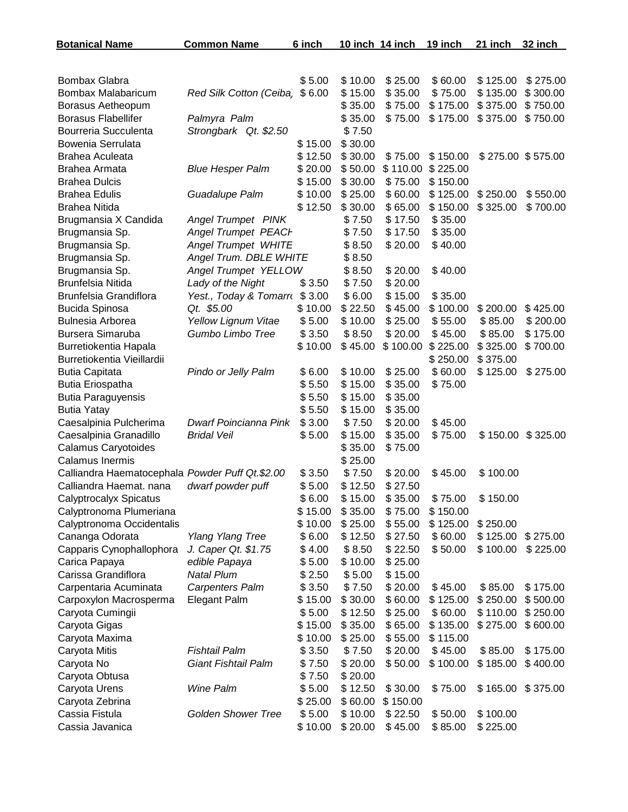| <b>Botanical Name</b>                           | <b>Common Name</b>                 | 6 inch           | 10 inch 14 inch   |                    | 19 inch  | 21 inch  | 32 inch           |
|-------------------------------------------------|------------------------------------|------------------|-------------------|--------------------|----------|----------|-------------------|
|                                                 |                                    |                  |                   |                    |          |          |                   |
| <b>Bombax Glabra</b>                            |                                    | \$5.00           | \$10.00           | \$25.00            | \$60.00  | \$125.00 | \$275.00          |
| Bombax Malabaricum                              | Red Silk Cotton (Ceiba             | \$6.00           | \$15.00           | \$35.00            | \$75.00  | \$135.00 | \$300.00          |
| Borasus Aetheopum                               |                                    |                  | \$35.00           | \$75.00            | \$175.00 | \$375.00 | \$750.00          |
| <b>Borasus Flabellifer</b>                      | Palmyra Palm                       |                  | \$35.00           | \$75.00            | \$175.00 | \$375.00 | \$750.00          |
| Bourreria Succulenta                            | Strongbark Qt. \$2.50              |                  | \$7.50            |                    |          |          |                   |
| Bowenia Serrulata                               |                                    | \$15.00          | \$30.00           |                    |          |          |                   |
| Brahea Aculeata                                 |                                    | \$12.50          | \$30.00           | \$75.00            | \$150.00 |          | \$275.00 \$575.00 |
| Brahea Armata                                   | <b>Blue Hesper Palm</b>            | \$20.00          | \$50.00           | \$110.00           | \$225.00 |          |                   |
| <b>Brahea Dulcis</b>                            |                                    | \$15.00          | \$30.00           | \$75.00            | \$150.00 |          |                   |
| <b>Brahea Edulis</b>                            | Guadalupe Palm                     | \$10.00          | \$25.00           | \$60.00            | \$125.00 | \$250.00 | \$550.00          |
| <b>Brahea Nitida</b>                            |                                    | \$12.50          | \$30.00           | \$65.00            | \$150.00 | \$325.00 | \$700.00          |
| Brugmansia X Candida                            | <b>Angel Trumpet PINK</b>          |                  | \$7.50            | \$17.50            | \$35.00  |          |                   |
| Brugmansia Sp.                                  | <b>Angel Trumpet PEACH</b>         |                  | \$7.50            | \$17.50            | \$35.00  |          |                   |
| Brugmansia Sp.                                  | <b>Angel Trumpet WHITE</b>         |                  | \$8.50            | \$20.00            | \$40.00  |          |                   |
| Brugmansia Sp.                                  | Angel Trum. DBLE WHITE             |                  | \$8.50            |                    |          |          |                   |
| Brugmansia Sp.                                  | Angel Trumpet YELLOW               |                  | \$8.50            | \$20.00            | \$40.00  |          |                   |
| Brunfelsia Nitida                               | Lady of the Night                  | \$3.50           | \$7.50            | \$20.00            |          |          |                   |
| Brunfelsia Grandiflora                          | Yest., Today & Tomarro             | \$3.00           | \$6.00            | \$15.00            | \$35.00  |          |                   |
| <b>Bucida Spinosa</b>                           | Qt. \$5.00                         | \$10.00          | \$22.50           | \$45.00            | \$100.00 | \$200.00 | \$425.00          |
| Bulnesia Arborea                                | Yellow Lignum Vitae                | \$5.00           | \$10.00           | \$25.00            | \$55.00  | \$85.00  | \$200.00          |
| Bursera Simaruba                                | Gumbo Limbo Tree                   | \$3.50           | \$8.50            | \$20.00            | \$45.00  | \$85.00  | \$175.00          |
| Burretiokentia Hapala                           |                                    | \$10.00          | \$45.00           | \$100.00           | \$225.00 | \$325.00 | \$700.00          |
| Burretiokentia Vieillardii                      |                                    |                  |                   |                    | \$250.00 | \$375.00 |                   |
| <b>Butia Capitata</b>                           | Pindo or Jelly Palm                | \$6.00           | \$10.00           | \$25.00            | \$60.00  | \$125.00 | \$275.00          |
| <b>Butia Eriospatha</b>                         |                                    | \$5.50           | \$15.00           | \$35.00            | \$75.00  |          |                   |
| <b>Butia Paraguyensis</b>                       |                                    | \$5.50           | \$15.00           | \$35.00            |          |          |                   |
| <b>Butia Yatay</b>                              |                                    | \$5.50           | \$15.00           | \$35.00            |          |          |                   |
| Caesalpinia Pulcherima                          | Dwarf Poincianna Pink              | \$3.00           | \$7.50            | \$20.00            | \$45.00  |          |                   |
| Caesalpinia Granadillo                          | <b>Bridal Veil</b>                 | \$5.00           | \$15.00           | \$35.00            | \$75.00  | \$150.00 | \$325.00          |
| Calamus Caryotoides                             |                                    |                  | \$35.00           | \$75.00            |          |          |                   |
| Calamus Inermis                                 |                                    |                  | \$25.00           |                    |          |          |                   |
| Calliandra Haematocephala Powder Puff Qt.\$2.00 |                                    | \$3.50           | \$7.50            | \$20.00            | \$45.00  | \$100.00 |                   |
| Calliandra Haemat. nana                         | dwarf powder puff                  | \$5.00           | \$12.50           | \$27.50            |          |          |                   |
| <b>Calyptrocalyx Spicatus</b>                   |                                    | \$6.00           | \$15.00           | \$35.00            | \$75.00  | \$150.00 |                   |
| Calyptronoma Plumeriana                         |                                    | \$15.00          | \$35.00           | \$75.00            | \$150.00 |          |                   |
| Calyptronoma Occidentalis                       |                                    | \$10.00          | \$25.00           | \$55.00            | \$125.00 | \$250.00 |                   |
| Cananga Odorata                                 | <b>Ylang Ylang Tree</b>            | \$6.00           | \$12.50           | \$27.50            | \$60.00  | \$125.00 | \$275.00          |
| Capparis Cynophallophora                        | J. Caper Qt. \$1.75                | \$4.00           | \$8.50            | \$22.50            | \$50.00  | \$100.00 | \$225.00          |
| Carica Papaya<br>Carissa Grandiflora            | edible Papaya<br><b>Natal Plum</b> | \$5.00<br>\$2.50 | \$10.00<br>\$5.00 | \$25.00<br>\$15.00 |          |          |                   |
| Carpentaria Acuminata                           | <b>Carpenters Palm</b>             | \$3.50           | \$7.50            | \$20.00            | \$45.00  | \$85.00  | \$175.00          |
| Carpoxylon Macrosperma                          | <b>Elegant Palm</b>                | \$15.00          | \$30.00           | \$60.00            | \$125.00 | \$250.00 | \$500.00          |
| Caryota Cumingii                                |                                    | \$5.00           | \$12.50           | \$25.00            | \$60.00  | \$110.00 | \$250.00          |
| Caryota Gigas                                   |                                    | \$15.00          | \$35.00           | \$65.00            | \$135.00 | \$275.00 | \$600.00          |
| Caryota Maxima                                  |                                    | \$10.00          | \$25.00           | \$55.00            | \$115.00 |          |                   |
| Caryota Mitis                                   | <b>Fishtail Palm</b>               | \$3.50           | \$7.50            | \$20.00            | \$45.00  | \$85.00  | \$175.00          |
| Caryota No                                      | <b>Giant Fishtail Palm</b>         | \$7.50           | \$20.00           | \$50.00            | \$100.00 | \$185.00 | \$400.00          |
| Caryota Obtusa                                  |                                    | \$7.50           | \$20.00           |                    |          |          |                   |
| Caryota Urens                                   | Wine Palm                          | \$5.00           | \$12.50           | \$30.00            | \$75.00  | \$165.00 | \$375.00          |
| Caryota Zebrina                                 |                                    | \$25.00          | \$60.00           | \$150.00           |          |          |                   |
| Cassia Fistula                                  | <b>Golden Shower Tree</b>          | \$5.00           | \$10.00           | \$22.50            | \$50.00  | \$100.00 |                   |
| Cassia Javanica                                 |                                    | \$10.00          | \$20.00           | \$45.00            | \$85.00  | \$225.00 |                   |
|                                                 |                                    |                  |                   |                    |          |          |                   |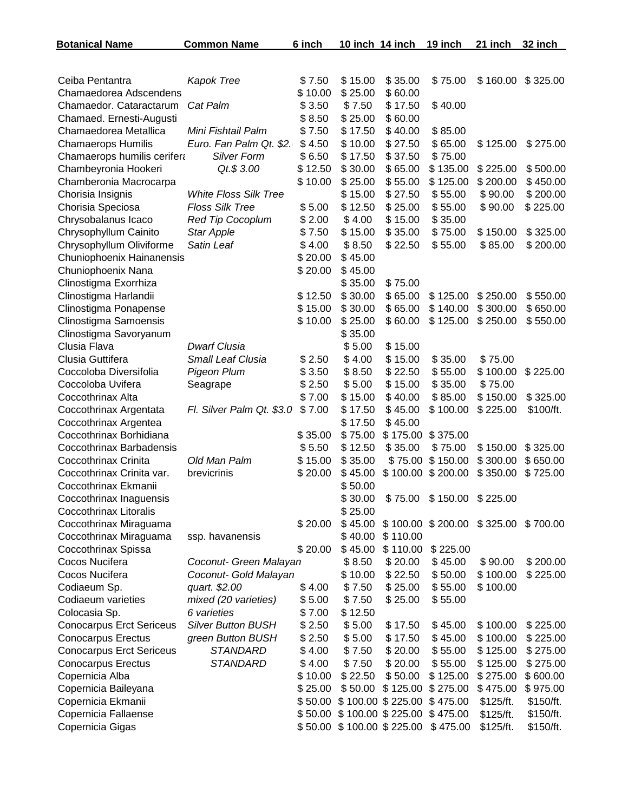| <b>Botanical Name</b>                                        | <b>Common Name</b>                  | 6 inch           | 10 inch 14 inch   |                    | 19 inch                             | 21 inch              | 32 inch   |
|--------------------------------------------------------------|-------------------------------------|------------------|-------------------|--------------------|-------------------------------------|----------------------|-----------|
|                                                              |                                     |                  |                   |                    |                                     |                      |           |
| Ceiba Pentantra                                              | Kapok Tree                          | \$7.50           | \$15.00           | \$35.00            | \$75.00                             | \$160.00             | \$325.00  |
| Chamaedorea Adscendens                                       |                                     | \$10.00          | \$25.00           | \$60.00            |                                     |                      |           |
| Chamaedor. Cataractarum                                      | Cat Palm                            | \$3.50           | \$7.50            | \$17.50            | \$40.00                             |                      |           |
| Chamaed. Ernesti-Augusti                                     |                                     | \$8.50           | \$25.00           | \$60.00            |                                     |                      |           |
| Chamaedorea Metallica                                        | Mini Fishtail Palm                  | \$7.50           | \$17.50           | \$40.00            | \$85.00                             |                      |           |
| <b>Chamaerops Humilis</b>                                    | Euro. Fan Palm Qt. \$2.             | \$4.50           | \$10.00           | \$27.50            | \$65.00                             | \$125.00             | \$275.00  |
| Chamaerops humilis cerifera                                  | <b>Silver Form</b>                  | \$6.50           | \$17.50           | \$37.50            | \$75.00                             |                      |           |
| Chambeyronia Hookeri                                         | Qt.\$ 3.00                          | \$12.50          | \$30.00           | \$65.00            | \$135.00                            | \$225.00             | \$500.00  |
| Chamberonia Macrocarpa                                       |                                     | \$10.00          | \$25.00           | \$55.00            | \$125.00                            | \$200.00             | \$450.00  |
| Chorisia Insignis                                            | <b>White Floss Silk Tree</b>        |                  | \$15.00           | \$27.50            | \$55.00                             | \$90.00              | \$200.00  |
| Chorisia Speciosa                                            | <b>Floss Silk Tree</b>              | \$5.00           | \$12.50           | \$25.00            | \$55.00                             | \$90.00              | \$225.00  |
| Chrysobalanus Icaco                                          | <b>Red Tip Cocoplum</b>             | \$2.00           | \$4.00            | \$15.00            | \$35.00                             |                      |           |
| Chrysophyllum Cainito                                        | <b>Star Apple</b>                   | \$7.50           | \$15.00           | \$35.00            | \$75.00                             | \$150.00             | \$325.00  |
| Chrysophyllum Oliviforme                                     | Satin Leaf                          | \$4.00           | \$8.50            | \$22.50            | \$55.00                             | \$85.00              | \$200.00  |
| Chuniophoenix Hainanensis                                    |                                     | \$20.00          | \$45.00           |                    |                                     |                      |           |
| Chuniophoenix Nana                                           |                                     | \$20.00          | \$45.00           |                    |                                     |                      |           |
| Clinostigma Exorrhiza                                        |                                     |                  | \$35.00           | \$75.00            |                                     |                      |           |
| Clinostigma Harlandii                                        |                                     | \$12.50          | \$30.00           | \$65.00            | \$125.00                            | \$250.00             | \$550.00  |
| Clinostigma Ponapense                                        |                                     | \$15.00          | \$30.00           | \$65.00            | \$140.00                            | \$300.00             | \$650.00  |
| Clinostigma Samoensis                                        |                                     | \$10.00          | \$25.00           | \$60.00            | \$125.00                            | \$250.00             | \$550.00  |
| Clinostigma Savoryanum                                       |                                     |                  | \$35.00           |                    |                                     |                      |           |
| Clusia Flava                                                 | <b>Dwarf Clusia</b>                 |                  | \$5.00            | \$15.00            |                                     |                      |           |
| Clusia Guttifera                                             | Small Leaf Clusia                   | \$2.50           | \$4.00            | \$15.00            | \$35.00                             | \$75.00              |           |
| Coccoloba Diversifolia                                       | Pigeon Plum                         | \$3.50           | \$8.50            | \$22.50            | \$55.00                             | \$100.00             | \$225.00  |
| Coccoloba Uvifera                                            | Seagrape                            | \$2.50           | \$5.00            | \$15.00            | \$35.00                             | \$75.00              |           |
| Coccothrinax Alta                                            |                                     | \$7.00           | \$15.00           | \$40.00            | \$85.00                             | \$150.00             | \$325.00  |
| Coccothrinax Argentata                                       | Fl. Silver Palm Qt. \$3.0           | \$7.00           | \$17.50           | \$45.00            | \$100.00                            | \$225.00             | \$100/ft. |
| Coccothrinax Argentea                                        |                                     |                  | \$17.50           | \$45.00            |                                     |                      |           |
| Coccothrinax Borhidiana                                      |                                     | \$35.00          | \$75.00           | \$175.00           | \$375.00                            |                      |           |
| Coccothrinax Barbadensis                                     |                                     | \$5.50           | \$12.50           | \$35.00            | \$75.00                             | \$150.00             | \$325.00  |
| Coccothrinax Crinita                                         | Old Man Palm                        | \$15.00          | \$35.00           | \$75.00            | \$150.00                            | \$300.00             | \$650.00  |
| Coccothrinax Crinita var.                                    | brevicrinis                         | \$20.00          | \$45.00           | \$100.00           | \$200.00                            | \$350.00             | \$725.00  |
| Coccothrinax Ekmanii                                         |                                     |                  | \$50.00           |                    |                                     |                      |           |
| Coccothrinax Inaguensis                                      |                                     |                  | \$30.00           |                    | \$75.00 \$150.00 \$225.00           |                      |           |
| <b>Coccothrinax Litoralis</b>                                |                                     |                  | \$25.00           |                    |                                     |                      |           |
| Coccothrinax Miraguama                                       |                                     | \$20.00          | \$45.00           |                    | \$100.00 \$200.00 \$325.00 \$700.00 |                      |           |
| Coccothrinax Miraguama                                       | ssp. havanensis                     |                  | \$40.00           | \$110.00           |                                     |                      |           |
| Coccothrinax Spissa                                          |                                     | \$20.00          | \$45.00           | \$110.00           | \$225.00                            |                      |           |
| Cocos Nucifera                                               | Coconut- Green Malayan              |                  | \$8.50            | \$20.00            | \$45.00                             | \$90.00              | \$200.00  |
| Cocos Nucifera                                               | Coconut- Gold Malayan               |                  | \$10.00           | \$22.50<br>\$25.00 | \$50.00<br>\$55.00                  | \$100.00<br>\$100.00 | \$225.00  |
| Codiaeum Sp.<br>Codiaeum varieties                           | quart. \$2.00                       | \$4.00           | \$7.50            | \$25.00            | \$55.00                             |                      |           |
|                                                              | mixed (20 varieties)<br>6 varieties | \$5.00           | \$7.50            |                    |                                     |                      |           |
| Colocasia Sp.                                                | Silver Button BUSH                  | \$7.00<br>\$2.50 | \$12.50<br>\$5.00 | \$17.50            | \$45.00                             | \$100.00             | \$225.00  |
| <b>Conocarpus Erct Sericeus</b><br><b>Conocarpus Erectus</b> | green Button BUSH                   | \$2.50           | \$5.00            | \$17.50            | \$45.00                             | \$100.00             | \$225.00  |
| <b>Conocarpus Erct Sericeus</b>                              | <b>STANDARD</b>                     | \$4.00           | \$7.50            | \$20.00            | \$55.00                             | \$125.00             | \$275.00  |
| <b>Conocarpus Erectus</b>                                    | <b>STANDARD</b>                     | \$4.00           | \$7.50            | \$20.00            | \$55.00                             | \$125.00             | \$275.00  |
| Copernicia Alba                                              |                                     | \$10.00          | \$22.50           | \$50.00            | \$125.00                            | \$275.00             | \$600.00  |
| Copernicia Baileyana                                         |                                     | \$25.00          | \$50.00           |                    | \$125.00 \$275.00                   | \$475.00             | \$975.00  |
| Copernicia Ekmanii                                           |                                     | \$50.00          |                   |                    | \$100.00 \$225.00 \$475.00          | \$125/ft.            | \$150/ft. |
| Copernicia Fallaense                                         |                                     |                  |                   |                    | \$50.00 \$100.00 \$225.00 \$475.00  | \$125/ft.            | \$150/ft. |
| Copernicia Gigas                                             |                                     |                  |                   |                    | \$50.00 \$100.00 \$225.00 \$475.00  | \$125/ft.            | \$150/ft. |
|                                                              |                                     |                  |                   |                    |                                     |                      |           |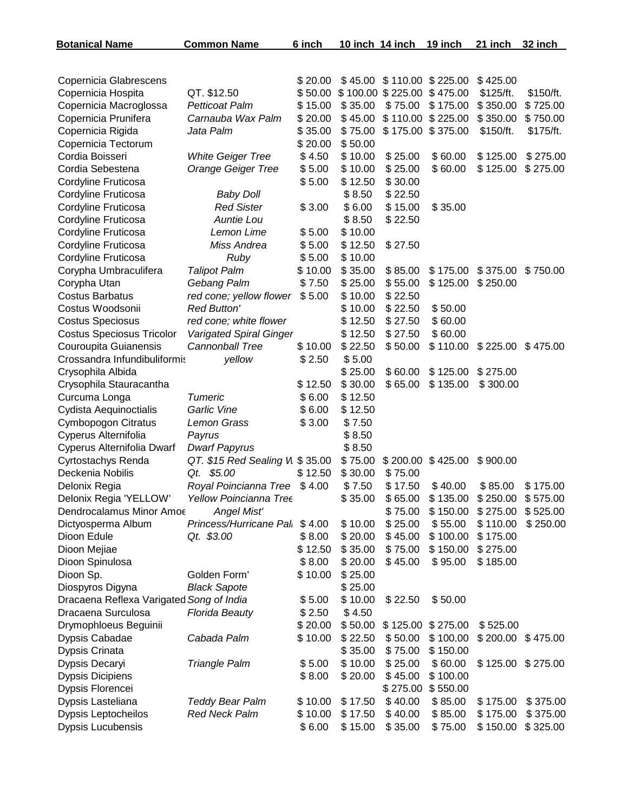| <b>Botanical Name</b>                           | <b>Common Name</b>                             | 6 inch             | 10 inch 14 inch    |                    | 19 inch             | 21 inch              | 32 inch              |
|-------------------------------------------------|------------------------------------------------|--------------------|--------------------|--------------------|---------------------|----------------------|----------------------|
|                                                 |                                                |                    |                    |                    |                     |                      |                      |
| Copernicia Glabrescens                          |                                                | \$20.00            | \$45.00            |                    | $$110.00$ $$225.00$ | \$425.00             |                      |
| Copernicia Hospita                              | QT. \$12.50                                    | \$50.00            |                    | \$100.00 \$225.00  | \$475.00            | \$125/ft.            | \$150/ft.            |
| Copernicia Macroglossa                          | <b>Petticoat Palm</b>                          | \$15.00            | \$35.00            | \$75.00            | \$175.00            | \$350.00             | \$725.00             |
| Copernicia Prunifera                            | Carnauba Wax Palm                              | \$20.00            | \$45.00            | \$110.00           | \$225.00            | \$350.00             | \$750.00             |
| Copernicia Rigida                               | Jata Palm                                      | \$35.00            | \$75.00            | \$175.00           | \$375.00            | \$150/ft.            | \$175/ft.            |
| Copernicia Tectorum                             |                                                | \$20.00            | \$50.00            |                    |                     |                      |                      |
| Cordia Boisseri                                 | <b>White Geiger Tree</b>                       | \$4.50             | \$10.00            | \$25.00            | \$60.00             | \$125.00             | \$275.00             |
| Cordia Sebestena                                | <b>Orange Geiger Tree</b>                      | \$5.00             | \$10.00            | \$25.00            | \$60.00             | \$125.00             | \$275.00             |
| Cordyline Fruticosa                             |                                                | \$5.00             | \$12.50            | \$30.00            |                     |                      |                      |
| Cordyline Fruticosa                             | <b>Baby Doll</b>                               |                    | \$8.50             | \$22.50            |                     |                      |                      |
| Cordyline Fruticosa                             | <b>Red Sister</b>                              | \$3.00             | \$6.00             | \$15.00            | \$35.00             |                      |                      |
| Cordyline Fruticosa                             | Auntie Lou                                     |                    | \$8.50             | \$22.50            |                     |                      |                      |
| Cordyline Fruticosa                             | Lemon Lime                                     | \$5.00             | \$10.00            |                    |                     |                      |                      |
| Cordyline Fruticosa                             | Miss Andrea                                    | \$5.00             | \$12.50            | \$27.50            |                     |                      |                      |
| Cordyline Fruticosa                             | Ruby                                           | \$5.00             | \$10.00            |                    |                     |                      |                      |
| Corypha Umbraculifera                           | <b>Talipot Palm</b>                            | \$10.00            | \$35.00            | \$85.00            | \$175.00            | \$375.00             | \$750.00             |
| Corypha Utan                                    | Gebang Palm                                    | \$7.50             | \$25.00            | \$55.00            | \$125.00            | \$250.00             |                      |
| <b>Costus Barbatus</b>                          | red cone; yellow flower                        | \$5.00             | \$10.00            | \$22.50            |                     |                      |                      |
| Costus Woodsonii                                | <b>Red Button'</b>                             |                    | \$10.00            | \$22.50            | \$50.00             |                      |                      |
| <b>Costus Speciosus</b>                         | red cone; white flower                         |                    | \$12.50            | \$27.50            | \$60.00             |                      |                      |
| <b>Costus Speciosus Tricolor</b>                | <b>Varigated Spiral Ginger</b>                 |                    | \$12.50            | \$27.50            | \$60.00             |                      |                      |
| Couroupita Guianensis                           | <b>Cannonball Tree</b>                         | \$10.00            | \$22.50            | \$50.00            | \$110.00            | \$225.00             | \$475.00             |
| Crossandra Infundibuliformis                    | yellow                                         | \$2.50             | \$5.00             |                    |                     |                      |                      |
| Crysophila Albida                               |                                                |                    | \$25.00            | \$60.00            | \$125.00            | \$275.00             |                      |
| Crysophila Stauracantha                         |                                                | \$12.50            | \$30.00            | \$65.00            | \$135.00            | \$300.00             |                      |
| Curcuma Longa                                   | Tumeric                                        | \$6.00             | \$12.50            |                    |                     |                      |                      |
| Cydista Aequinoctialis                          | Garlic Vine                                    | \$6.00             | \$12.50            |                    |                     |                      |                      |
| Cymbopogon Citratus                             | Lemon Grass                                    | \$3.00             | \$7.50             |                    |                     |                      |                      |
| Cyperus Alternifolia                            | Payrus                                         |                    | \$8.50             |                    |                     |                      |                      |
| Cyperus Alternifolia Dwarf                      | <b>Dwarf Papyrus</b>                           |                    | \$8.50             |                    |                     |                      |                      |
| <b>Cyrtostachys Renda</b>                       | QT. \$15 Red Sealing VI \$35.00                |                    | \$75.00            | \$200.00           | \$425.00            | \$900.00             |                      |
| Deckenia Nobilis                                | Qt. \$5.00                                     | \$12.50            | \$30.00            | \$75.00            |                     |                      |                      |
| Delonix Regia                                   | Royal Poincianna Tree                          | \$4.00             | \$7.50             | \$17.50            | \$40.00             | \$85.00              | \$175.00             |
| Delonix Regia 'YELLOW'                          | Yellow Poincianna Tree                         |                    | \$35.00            | \$65.00            | \$135.00            | \$250.00             | \$575.00             |
| Dendrocalamus Minor Amoe                        | <b>Angel Mist'</b>                             |                    |                    | \$75.00            | \$150.00            | \$275.00             | \$525.00             |
| Dictyosperma Album                              | Princess/Hurricane Pal. \$4.00                 |                    | \$10.00            | \$25.00            | \$55.00             | \$110.00             | \$250.00             |
| Dioon Edule                                     | Qt. \$3.00                                     | \$8.00             | \$20.00            | \$45.00            | \$100.00            | \$175.00             |                      |
| Dioon Mejiae                                    |                                                | \$12.50            | \$35.00            | \$75.00            | \$150.00            | \$275.00             |                      |
| Dioon Spinulosa                                 |                                                | \$8.00             | \$20.00            | \$45.00            | \$95.00             | \$185.00             |                      |
| Dioon Sp.                                       | Golden Form'                                   | \$10.00            | \$25.00            |                    |                     |                      |                      |
| Diospyros Digyna                                | <b>Black Sapote</b>                            |                    | \$25.00            |                    |                     |                      |                      |
| Dracaena Reflexa Varigated Song of India        |                                                | \$5.00             | \$10.00            | \$22.50            | \$50.00             |                      |                      |
| Dracaena Surculosa                              | <b>Florida Beauty</b>                          | \$2.50             | \$4.50             |                    |                     |                      |                      |
| Drymophloeus Beguinii                           |                                                | \$20.00            | \$50.00            |                    | \$125.00 \$275.00   | \$525.00             |                      |
| Dypsis Cabadae                                  | Cabada Palm                                    | \$10.00            | \$22.50            | \$50.00            | \$100.00            | \$200.00             | \$475.00             |
| Dypsis Crinata                                  |                                                |                    | \$35.00            | \$75.00            | \$150.00            |                      |                      |
| Dypsis Decaryi                                  | <b>Triangle Palm</b>                           | \$5.00             | \$10.00            | \$25.00            | \$60.00             | \$125.00             | \$275.00             |
| <b>Dypsis Dicipiens</b>                         |                                                | \$8.00             | \$20.00            | \$45.00            | \$100.00            |                      |                      |
| Dypsis Florencei                                |                                                |                    |                    | \$275.00           | \$550.00            |                      |                      |
| Dypsis Lasteliana<br><b>Dypsis Leptocheilos</b> | <b>Teddy Bear Palm</b><br><b>Red Neck Palm</b> | \$10.00<br>\$10.00 | \$17.50<br>\$17.50 | \$40.00<br>\$40.00 | \$85.00<br>\$85.00  | \$175.00<br>\$175.00 | \$375.00<br>\$375.00 |
| <b>Dypsis Lucubensis</b>                        |                                                | \$6.00             | \$15.00            | \$35.00            | \$75.00             | \$150.00             | \$325.00             |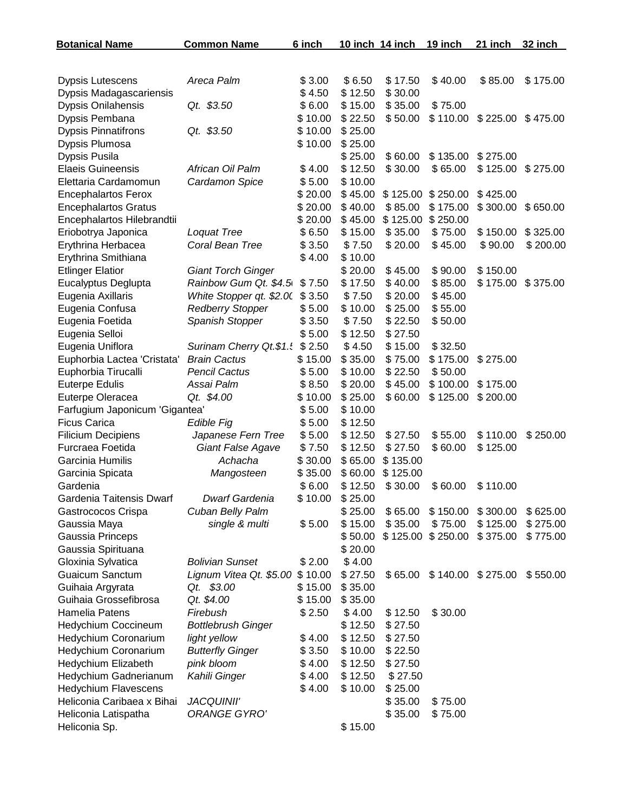| <b>Botanical Name</b>          | <b>Common Name</b>        | 6 inch  | 10 inch 14 inch |          | 19 inch           | 21 inch           | 32 inch  |
|--------------------------------|---------------------------|---------|-----------------|----------|-------------------|-------------------|----------|
|                                |                           |         |                 |          |                   |                   |          |
| <b>Dypsis Lutescens</b>        | Areca Palm                | \$3.00  | \$6.50          | \$17.50  | \$40.00           | \$85.00           | \$175.00 |
| Dypsis Madagascariensis        |                           | \$4.50  | \$12.50         | \$30.00  |                   |                   |          |
| <b>Dypsis Onilahensis</b>      | Qt. \$3.50                | \$6.00  | \$15.00         | \$35.00  | \$75.00           |                   |          |
| Dypsis Pembana                 |                           | \$10.00 | \$22.50         | \$50.00  | \$110.00          | \$225.00          | \$475.00 |
| <b>Dypsis Pinnatifrons</b>     | Qt. \$3.50                | \$10.00 | \$25.00         |          |                   |                   |          |
| Dypsis Plumosa                 |                           | \$10.00 | \$25.00         |          |                   |                   |          |
| Dypsis Pusila                  |                           |         | \$25.00         | \$60.00  | \$135.00          | \$275.00          |          |
| <b>Elaeis Guineensis</b>       | African Oil Palm          | \$4.00  | \$12.50         | \$30.00  | \$65.00           | \$125.00          | \$275.00 |
| Elettaria Cardamomun           | Cardamon Spice            | \$5.00  | \$10.00         |          |                   |                   |          |
| <b>Encephalartos Ferox</b>     |                           | \$20.00 | \$45.00         |          | \$125.00 \$250.00 | \$425.00          |          |
| <b>Encephalartos Gratus</b>    |                           | \$20.00 | \$40.00         | \$85.00  | \$175.00          | \$300.00          | \$650.00 |
| Encephalartos Hilebrandtii     |                           | \$20.00 | \$45.00         | \$125.00 | \$250.00          |                   |          |
| Eriobotrya Japonica            | Loquat Tree               | \$6.50  | \$15.00         | \$35.00  | \$75.00           | \$150.00          | \$325.00 |
| Erythrina Herbacea             | Coral Bean Tree           | \$3.50  | \$7.50          | \$20.00  | \$45.00           | \$90.00           | \$200.00 |
| Erythrina Smithiana            |                           | \$4.00  | \$10.00         |          |                   |                   |          |
| <b>Etlinger Elatior</b>        | <b>Giant Torch Ginger</b> |         | \$20.00         | \$45.00  | \$90.00           | \$150.00          |          |
| Eucalyptus Deglupta            | Rainbow Gum Qt. \$4.5     | \$7.50  | \$17.50         | \$40.00  | \$85.00           | \$175.00          | \$375.00 |
| Eugenia Axillaris              | White Stopper qt. \$2.00  | \$3.50  | \$7.50          | \$20.00  | \$45.00           |                   |          |
| Eugenia Confusa                | <b>Redberry Stopper</b>   | \$5.00  | \$10.00         | \$25.00  | \$55.00           |                   |          |
| Eugenia Foetida                | Spanish Stopper           | \$3.50  | \$7.50          | \$22.50  | \$50.00           |                   |          |
| Eugenia Selloi                 |                           | \$5.00  | \$12.50         | \$27.50  |                   |                   |          |
| Eugenia Uniflora               | Surinam Cherry Qt.\$1.    | \$2.50  | \$4.50          | \$15.00  | \$32.50           |                   |          |
| Euphorbia Lactea 'Cristata'    | <b>Brain Cactus</b>       | \$15.00 | \$35.00         | \$75.00  | \$175.00          | \$275.00          |          |
| Euphorbia Tirucalli            | <b>Pencil Cactus</b>      | \$5.00  | \$10.00         | \$22.50  | \$50.00           |                   |          |
| <b>Euterpe Edulis</b>          | Assai Palm                | \$8.50  | \$20.00         | \$45.00  | \$100.00          | \$175.00          |          |
| Euterpe Oleracea               | Qt. \$4.00                | \$10.00 | \$25.00         | \$60.00  | \$125.00          | \$200.00          |          |
| Farfugium Japonicum 'Gigantea' |                           | \$5.00  | \$10.00         |          |                   |                   |          |
| <b>Ficus Carica</b>            | Edible Fig                | \$5.00  | \$12.50         |          |                   |                   |          |
| <b>Filicium Decipiens</b>      | Japanese Fern Tree        | \$5.00  | \$12.50         | \$27.50  | \$55.00           | \$110.00          | \$250.00 |
| Furcraea Foetida               | Giant False Agave         | \$7.50  | \$12.50         | \$27.50  | \$60.00           | \$125.00          |          |
| Garcinia Humilis               | Achacha                   | \$30.00 | \$65.00         | \$135.00 |                   |                   |          |
| Garcinia Spicata               | Mangosteen                | \$35.00 | \$60.00         | \$125.00 |                   |                   |          |
| Gardenia                       |                           | \$6.00  | \$12.50         | \$30.00  | \$60.00           | \$110.00          |          |
| Gardenia Taitensis Dwarf       | Dwarf Gardenia            | \$10.00 | \$25.00         |          |                   |                   |          |
| Gastrococos Crispa             | Cuban Belly Palm          |         | \$25.00         | \$65.00  | \$150.00          | \$300.00          | \$625.00 |
| Gaussia Maya                   | single & multi            | \$5.00  | \$15.00         | \$35.00  | \$75.00           | \$125.00          | \$275.00 |
| Gaussia Princeps               |                           |         | \$50.00         |          | \$125.00 \$250.00 | \$375.00          | \$775.00 |
| Gaussia Spirituana             |                           |         | \$20.00         |          |                   |                   |          |
| Gloxinia Sylvatica             | <b>Bolivian Sunset</b>    | \$2.00  | \$4.00          |          |                   |                   |          |
| <b>Guaicum Sanctum</b>         | Lignum Vitea Qt. \$5.00   | \$10.00 | \$27.50         | \$65.00  |                   | \$140.00 \$275.00 | \$550.00 |
| Guihaia Argyrata               | Qt. \$3.00                | \$15.00 | \$35.00         |          |                   |                   |          |
| Guihaia Grossefibrosa          | Qt. \$4.00                | \$15.00 | \$35.00         |          |                   |                   |          |
| Hamelia Patens                 | Firebush                  | \$2.50  | \$4.00          | \$12.50  | \$30.00           |                   |          |
| Hedychium Coccineum            | <b>Bottlebrush Ginger</b> |         | \$12.50         | \$27.50  |                   |                   |          |
| Hedychium Coronarium           | light yellow              | \$4.00  | \$12.50         | \$27.50  |                   |                   |          |
| Hedychium Coronarium           | <b>Butterfly Ginger</b>   | \$3.50  | \$10.00         | \$22.50  |                   |                   |          |
| Hedychium Elizabeth            | pink bloom                | \$4.00  | \$12.50         | \$27.50  |                   |                   |          |
| Hedychium Gadnerianum          | Kahili Ginger             | \$4.00  | \$12.50         | \$27.50  |                   |                   |          |
| <b>Hedychium Flavescens</b>    |                           | \$4.00  | \$10.00         | \$25.00  |                   |                   |          |
| Heliconia Caribaea x Bihai     | <b>JACQUINII'</b>         |         |                 | \$35.00  | \$75.00           |                   |          |
| Heliconia Latispatha           | ORANGE GYRO'              |         |                 | \$35.00  | \$75.00           |                   |          |
| Heliconia Sp.                  |                           |         | \$15.00         |          |                   |                   |          |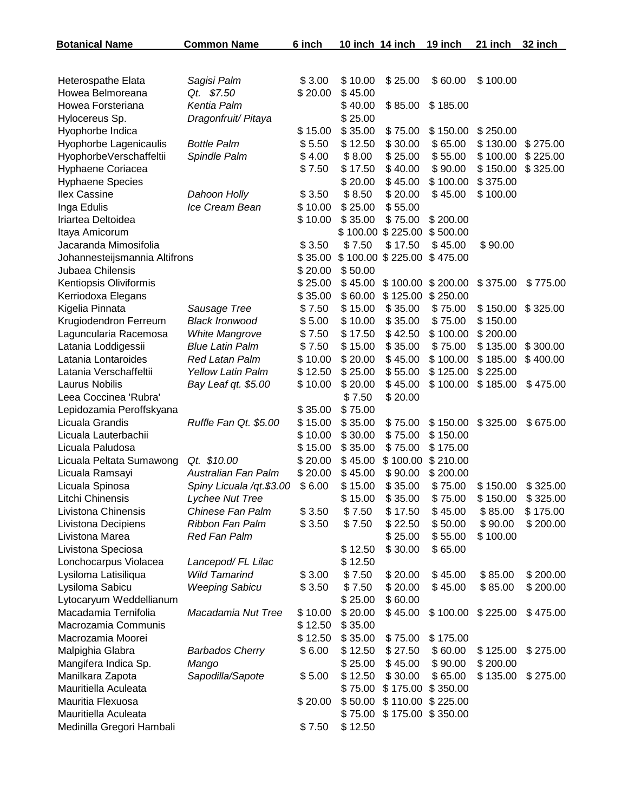| <b>Botanical Name</b>         | <b>Common Name</b>         | 6 inch  | 10 inch 14 inch |                   | 19 inch           | 21 inch  | 32 inch  |
|-------------------------------|----------------------------|---------|-----------------|-------------------|-------------------|----------|----------|
|                               |                            |         |                 |                   |                   |          |          |
| Heterospathe Elata            | Sagisi Palm                | \$3.00  | \$10.00         | \$25.00           | \$60.00           | \$100.00 |          |
| Howea Belmoreana              | Qt. \$7.50                 | \$20.00 | \$45.00         |                   |                   |          |          |
| Howea Forsteriana             | Kentia Palm                |         | \$40.00         | \$85.00           | \$185.00          |          |          |
| Hylocereus Sp.                | Dragonfruit/ Pitaya        |         | \$25.00         |                   |                   |          |          |
| Hyophorbe Indica              |                            | \$15.00 | \$35.00         | \$75.00           | \$150.00          | \$250.00 |          |
| Hyophorbe Lagenicaulis        | <b>Bottle Palm</b>         | \$5.50  | \$12.50         | \$30.00           | \$65.00           | \$130.00 | \$275.00 |
| HyophorbeVerschaffeltii       | Spindle Palm               | \$4.00  | \$8.00          | \$25.00           | \$55.00           | \$100.00 | \$225.00 |
| Hyphaene Coriacea             |                            | \$7.50  | \$17.50         | \$40.00           | \$90.00           | \$150.00 | \$325.00 |
| <b>Hyphaene Species</b>       |                            |         | \$20.00         | \$45.00           | \$100.00          | \$375.00 |          |
| Ilex Cassine                  | Dahoon Holly               | \$3.50  | \$8.50          | \$20.00           | \$45.00           | \$100.00 |          |
| Inga Edulis                   | Ice Cream Bean             | \$10.00 | \$25.00         | \$55.00           |                   |          |          |
| Iriartea Deltoidea            |                            | \$10.00 | \$35.00         | \$75.00           | \$200.00          |          |          |
| Itaya Amicorum                |                            |         |                 | \$100.00 \$225.00 | \$500.00          |          |          |
| Jacaranda Mimosifolia         |                            | \$3.50  | \$7.50          | \$17.50           | \$45.00           | \$90.00  |          |
| Johannesteijsmannia Altifrons |                            | \$35.00 |                 | \$100.00 \$225.00 | \$475.00          |          |          |
| Jubaea Chilensis              |                            | \$20.00 | \$50.00         |                   |                   |          |          |
| Kentiopsis Oliviformis        |                            | \$25.00 | \$45.00         |                   | \$100.00 \$200.00 | \$375.00 | \$775.00 |
| Kerriodoxa Elegans            |                            | \$35.00 | \$60.00         | \$125.00          | \$250.00          |          |          |
| Kigelia Pinnata               | Sausage Tree               | \$7.50  | \$15.00         | \$35.00           | \$75.00           | \$150.00 | \$325.00 |
| Krugiodendron Ferreum         | <b>Black Ironwood</b>      | \$5.00  | \$10.00         | \$35.00           | \$75.00           | \$150.00 |          |
| Laguncularia Racemosa         | <b>White Mangrove</b>      | \$7.50  | \$17.50         | \$42.50           | \$100.00          | \$200.00 |          |
| Latania Loddigessii           | <b>Blue Latin Palm</b>     | \$7.50  | \$15.00         | \$35.00           | \$75.00           | \$135.00 | \$300.00 |
| Latania Lontaroides           | Red Latan Palm             | \$10.00 | \$20.00         | \$45.00           | \$100.00          | \$185.00 | \$400.00 |
| Latania Verschaffeltii        | <b>Yellow Latin Palm</b>   | \$12.50 | \$25.00         | \$55.00           | \$125.00          | \$225.00 |          |
| <b>Laurus Nobilis</b>         | Bay Leaf qt. \$5.00        | \$10.00 | \$20.00         | \$45.00           | \$100.00          | \$185.00 | \$475.00 |
| Leea Coccinea 'Rubra'         |                            |         | \$7.50          | \$20.00           |                   |          |          |
| Lepidozamia Peroffskyana      |                            | \$35.00 | \$75.00         |                   |                   |          |          |
| Licuala Grandis               | Ruffle Fan Qt. \$5.00      | \$15.00 | \$35.00         | \$75.00           | \$150.00          | \$325.00 | \$675.00 |
| Licuala Lauterbachii          |                            | \$10.00 | \$30.00         | \$75.00           | \$150.00          |          |          |
| Licuala Paludosa              |                            | \$15.00 | \$35.00         | \$75.00           | \$175.00          |          |          |
| Licuala Peltata Sumawong      | Qt. \$10.00                | \$20.00 | \$45.00         | \$100.00          | \$210.00          |          |          |
| Licuala Ramsayi               | <b>Australian Fan Palm</b> | \$20.00 | \$45.00         | \$90.00           | \$200.00          |          |          |
| Licuala Spinosa               | Spiny Licuala /qt.\$3.00   | \$6.00  | \$15.00         | \$35.00           | \$75.00           | \$150.00 | \$325.00 |
| Litchi Chinensis              | Lychee Nut Tree            |         | \$15.00         | \$35.00           | \$75.00           | \$150.00 | \$325.00 |
| Livistona Chinensis           | Chinese Fan Palm           | \$3.50  | \$7.50          | \$17.50           | \$45.00           | \$85.00  | \$175.00 |
| Livistona Decipiens           | Ribbon Fan Palm            | \$3.50  | \$7.50          | \$22.50           | \$50.00           | \$90.00  | \$200.00 |
| Livistona Marea               | <b>Red Fan Palm</b>        |         |                 | \$25.00           | \$55.00           | \$100.00 |          |
| Livistona Speciosa            |                            |         | \$12.50         | \$30.00           | \$65.00           |          |          |
| Lonchocarpus Violacea         | Lancepod/FL Lilac          |         | \$12.50         |                   |                   |          |          |
| Lysiloma Latisiliqua          | <b>Wild Tamarind</b>       | \$3.00  | \$7.50          | \$20.00           | \$45.00           | \$85.00  | \$200.00 |
| Lysiloma Sabicu               | <b>Weeping Sabicu</b>      | \$3.50  | \$7.50          | \$20.00           | \$45.00           | \$85.00  | \$200.00 |
| Lytocaryum Weddellianum       |                            |         | \$25.00         | \$60.00           |                   |          |          |
| Macadamia Ternifolia          | Macadamia Nut Tree         | \$10.00 | \$20.00         | \$45.00           | \$100.00          | \$225.00 | \$475.00 |
| Macrozamia Communis           |                            | \$12.50 | \$35.00         |                   |                   |          |          |
| Macrozamia Moorei             |                            | \$12.50 | \$35.00         | \$75.00           | \$175.00          |          |          |
| Malpighia Glabra              | <b>Barbados Cherry</b>     | \$6.00  | \$12.50         | \$27.50           | \$60.00           | \$125.00 | \$275.00 |
| Mangifera Indica Sp.          | Mango                      |         | \$25.00         | \$45.00           | \$90.00           | \$200.00 |          |
| Manilkara Zapota              | Sapodilla/Sapote           | \$5.00  | \$12.50         | \$30.00           | \$65.00           | \$135.00 | \$275.00 |
| Mauritiella Aculeata          |                            |         | \$75.00         |                   | \$175.00 \$350.00 |          |          |
| Mauritia Flexuosa             |                            | \$20.00 | \$50.00         |                   | \$110.00 \$225.00 |          |          |
| Mauritiella Aculeata          |                            |         | \$75.00         |                   | \$175.00 \$350.00 |          |          |
| Medinilla Gregori Hambali     |                            | \$7.50  | \$12.50         |                   |                   |          |          |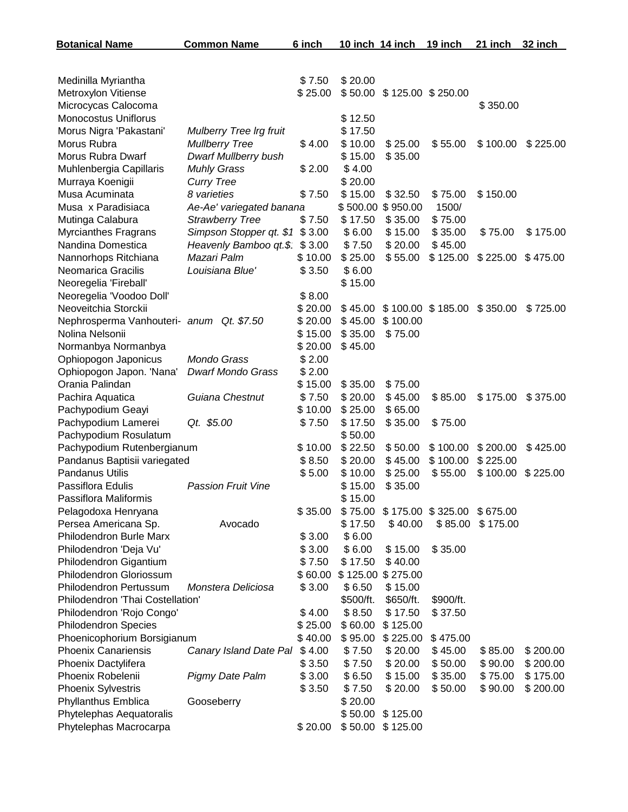| <b>Botanical Name</b>                    | <b>Common Name</b>             | 6 inch            | <u>10 inch 14 inch</u> |                    | <u>19 inch</u>      | 21 inch  | 32 inch  |
|------------------------------------------|--------------------------------|-------------------|------------------------|--------------------|---------------------|----------|----------|
|                                          |                                |                   |                        |                    |                     |          |          |
| Medinilla Myriantha                      |                                | \$7.50            | \$20.00                |                    |                     |          |          |
| Metroxylon Vitiense                      |                                | \$25.00           | \$50.00                |                    | \$125.00 \$250.00   |          |          |
| Microcycas Calocoma                      |                                |                   |                        |                    |                     | \$350.00 |          |
| <b>Monocostus Uniflorus</b>              |                                |                   | \$12.50                |                    |                     |          |          |
| Morus Nigra 'Pakastani'                  | <b>Mulberry Tree Irg fruit</b> |                   | \$17.50                |                    |                     |          |          |
| Morus Rubra                              | <b>Mullberry Tree</b>          | \$4.00            | \$10.00                | \$25.00            | \$55.00             | \$100.00 | \$225.00 |
| Morus Rubra Dwarf                        | <b>Dwarf Mullberry bush</b>    |                   | \$15.00                | \$35.00            |                     |          |          |
| Muhlenbergia Capillaris                  | <b>Muhly Grass</b>             | \$2.00            | \$4.00                 |                    |                     |          |          |
| Murraya Koenigii                         | <b>Curry Tree</b>              |                   | \$20.00                |                    |                     |          |          |
| Musa Acuminata                           | 8 varieties                    | \$7.50            | \$15.00                | \$32.50            | \$75.00             | \$150.00 |          |
| Musa x Paradisiaca                       | Ae-Ae' variegated banana       |                   | \$500.00               | \$950.00           | 1500/               |          |          |
| Mutinga Calabura                         | <b>Strawberry Tree</b>         | \$7.50            | \$17.50                | \$35.00            | \$75.00             |          |          |
| <b>Myrcianthes Fragrans</b>              | Simpson Stopper qt. \$1        | \$3.00            | \$6.00                 | \$15.00            | \$35.00             | \$75.00  | \$175.00 |
| Nandina Domestica                        | Heavenly Bamboo qt.\$          | \$3.00            | \$7.50                 | \$20.00            | \$45.00             |          |          |
| Nannorhops Ritchiana                     | Mazari Palm                    | \$10.00           | \$25.00                | \$55.00            | \$125.00            | \$225.00 | \$475.00 |
| Neomarica Gracilis                       | Louisiana Blue'                | \$3.50            | \$6.00                 |                    |                     |          |          |
| Neoregelia 'Fireball'                    |                                |                   | \$15.00                |                    |                     |          |          |
| Neoregelia 'Voodoo Doll'                 |                                | \$8.00            |                        |                    |                     |          |          |
| Neoveitchia Storckii                     |                                | \$20.00           | \$45.00                |                    | \$100.00 \$185.00   | \$350.00 | \$725.00 |
| Nephrosperma Vanhouteri- anum Qt. \$7.50 |                                | \$20.00           | \$45.00                | \$100.00           |                     |          |          |
| Nolina Nelsonii                          |                                | \$15.00           | \$35.00                | \$75.00            |                     |          |          |
| Normanbya Normanbya                      |                                | \$20.00           | \$45.00                |                    |                     |          |          |
| Ophiopogon Japonicus                     | Mondo Grass                    | \$2.00            |                        |                    |                     |          |          |
| Ophiopogon Japon. 'Nana'                 | <b>Dwarf Mondo Grass</b>       | \$2.00            |                        |                    |                     |          |          |
| Orania Palindan                          |                                | \$15.00           | \$35.00                | \$75.00            |                     |          |          |
| Pachira Aquatica                         | Guiana Chestnut                | \$7.50<br>\$10.00 | \$20.00                | \$45.00            | \$85.00             | \$175.00 | \$375.00 |
| Pachypodium Geayi<br>Pachypodium Lamerei | Qt. \$5.00                     | \$7.50            | \$25.00<br>\$17.50     | \$65.00<br>\$35.00 | \$75.00             |          |          |
| Pachypodium Rosulatum                    |                                |                   | \$50.00                |                    |                     |          |          |
| Pachypodium Rutenbergianum               |                                | \$10.00           | \$22.50                | \$50.00            | \$100.00            | \$200.00 | \$425.00 |
| Pandanus Baptisii variegated             |                                | \$8.50            | \$20.00                | \$45.00            | \$100.00            | \$225.00 |          |
| <b>Pandanus Utilis</b>                   |                                | \$5.00            | \$10.00                | \$25.00            | \$55.00             | \$100.00 | \$225.00 |
| Passiflora Edulis                        | <b>Passion Fruit Vine</b>      |                   | \$15.00                | \$35.00            |                     |          |          |
| Passiflora Maliformis                    |                                |                   | \$15.00                |                    |                     |          |          |
| Pelagodoxa Henryana                      |                                | \$35.00           | \$75.00                |                    | $$175.00$ $$325.00$ | \$675.00 |          |
| Persea Americana Sp.                     | Avocado                        |                   | \$17.50                | \$40.00            | \$85.00             | \$175.00 |          |
| <b>Philodendron Burle Marx</b>           |                                | \$3.00            | \$6.00                 |                    |                     |          |          |
| Philodendron 'Deja Vu'                   |                                | \$3.00            | \$6.00                 | \$15.00            | \$35.00             |          |          |
| Philodendron Gigantium                   |                                | \$7.50            | \$17.50                | \$40.00            |                     |          |          |
| Philodendron Gloriossum                  |                                | \$60.00           | \$125.00               | \$275.00           |                     |          |          |
| Philodendron Pertussum                   | Monstera Deliciosa             | \$3.00            | \$6.50                 | \$15.00            |                     |          |          |
| Philodendron 'Thai Costellation'         |                                |                   | \$500/ft.              | \$650/ft.          | \$900/ft.           |          |          |
| Philodendron 'Rojo Congo'                |                                | \$4.00            | \$8.50                 | \$17.50            | \$37.50             |          |          |
| <b>Philodendron Species</b>              |                                | \$25.00           | \$60.00                | \$125.00           |                     |          |          |
| Phoenicophorium Borsigianum              |                                | \$40.00           | \$95.00                | \$225.00           | \$475.00            |          |          |
| <b>Phoenix Canariensis</b>               | Canary Island Date Pal         | \$4.00            | \$7.50                 | \$20.00            | \$45.00             | \$85.00  | \$200.00 |
| Phoenix Dactylifera                      |                                | \$3.50            | \$7.50                 | \$20.00            | \$50.00             | \$90.00  | \$200.00 |
| Phoenix Robelenii                        | <b>Pigmy Date Palm</b>         | \$3.00            | \$6.50                 | \$15.00            | \$35.00             | \$75.00  | \$175.00 |
| <b>Phoenix Sylvestris</b>                |                                | \$3.50            | \$7.50                 | \$20.00            | \$50.00             | \$90.00  | \$200.00 |
| Phyllanthus Emblica                      | Gooseberry                     |                   | \$20.00                |                    |                     |          |          |
| Phytelephas Aequatoralis                 |                                |                   | \$50.00                | \$125.00           |                     |          |          |
| Phytelephas Macrocarpa                   |                                | \$20.00           | \$50.00                | \$125.00           |                     |          |          |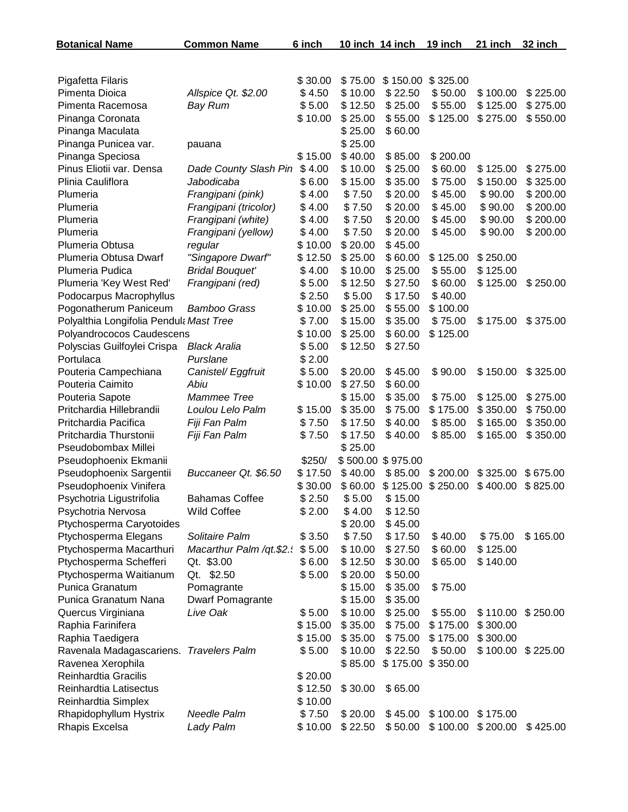| <b>Botanical Name</b>                             | <b>Common Name</b>       | 6 inch           | 10 inch 14 inch   |                    | 19 inch            | 21 inch             | 32 inch  |
|---------------------------------------------------|--------------------------|------------------|-------------------|--------------------|--------------------|---------------------|----------|
|                                                   |                          |                  |                   |                    |                    |                     |          |
| Pigafetta Filaris                                 |                          | \$30.00          | \$75.00           | \$150.00           | \$325.00           |                     |          |
| Pimenta Dioica                                    | Allspice Qt. \$2.00      | \$4.50           | \$10.00           | \$22.50            | \$50.00            | \$100.00            | \$225.00 |
| Pimenta Racemosa                                  | <b>Bay Rum</b>           | \$5.00           | \$12.50           | \$25.00            | \$55.00            | \$125.00            | \$275.00 |
| Pinanga Coronata                                  |                          | \$10.00          | \$25.00           | \$55.00            | \$125.00           | \$275.00            | \$550.00 |
| Pinanga Maculata                                  |                          |                  | \$25.00           | \$60.00            |                    |                     |          |
| Pinanga Punicea var.                              | pauana                   |                  | \$25.00           |                    |                    |                     |          |
| Pinanga Speciosa                                  |                          | \$15.00          | \$40.00           | \$85.00            | \$200.00           |                     |          |
| Pinus Eliotii var. Densa                          | Dade County Slash Pin    | \$4.00           | \$10.00           | \$25.00            | \$60.00            | \$125.00            | \$275.00 |
| Plinia Cauliflora                                 | Jabodicaba               | \$6.00           | \$15.00           | \$35.00            | \$75.00            | \$150.00            | \$325.00 |
| Plumeria                                          | Frangipani (pink)        | \$4.00           | \$7.50            | \$20.00            | \$45.00            | \$90.00             | \$200.00 |
| Plumeria                                          | Frangipani (tricolor)    | \$4.00           | \$7.50            | \$20.00            | \$45.00            | \$90.00             | \$200.00 |
| Plumeria                                          | Frangipani (white)       | \$4.00           | \$7.50            | \$20.00            | \$45.00            | \$90.00             | \$200.00 |
| Plumeria                                          | Frangipani (yellow)      | \$4.00           | \$7.50            | \$20.00            | \$45.00            | \$90.00             | \$200.00 |
| Plumeria Obtusa                                   | regular                  | \$10.00          | \$20.00           | \$45.00            |                    |                     |          |
| Plumeria Obtusa Dwarf                             | "Singapore Dwarf"        | \$12.50          | \$25.00           | \$60.00            | \$125.00           | \$250.00            |          |
| Plumeria Pudica                                   | <b>Bridal Bouquet'</b>   | \$4.00           | \$10.00           | \$25.00            | \$55.00            | \$125.00            |          |
| Plumeria 'Key West Red'                           | Frangipani (red)         | \$5.00           | \$12.50           | \$27.50            | \$60.00            | \$125.00            | \$250.00 |
| Podocarpus Macrophyllus                           |                          | \$2.50           | \$5.00            | \$17.50            | \$40.00            |                     |          |
| Pogonatherum Paniceum                             | <b>Bamboo Grass</b>      | \$10.00          | \$25.00           | \$55.00            | \$100.00           |                     |          |
| Polyalthia Longifolia Pendula Mast Tree           |                          | \$7.00           | \$15.00           | \$35.00            | \$75.00            | \$175.00            | \$375.00 |
| Polyandrococos Caudescens                         |                          | \$10.00          | \$25.00           | \$60.00            | \$125.00           |                     |          |
| Polyscias Guilfoylei Crispa                       | <b>Black Aralia</b>      | \$5.00           | \$12.50           | \$27.50            |                    |                     |          |
| Portulaca                                         | Purslane                 | \$2.00           |                   |                    |                    |                     |          |
| Pouteria Campechiana                              | Canistel/ Eggfruit       | \$5.00           | \$20.00           | \$45.00            | \$90.00            | \$150.00            | \$325.00 |
| Pouteria Caimito                                  | Abiu                     | \$10.00          | \$27.50           | \$60.00            |                    |                     |          |
| Pouteria Sapote                                   | Mammee Tree              |                  | \$15.00           | \$35.00            | \$75.00            | \$125.00            | \$275.00 |
| Pritchardia Hillebrandii                          | Loulou Lelo Palm         | \$15.00          | \$35.00           | \$75.00            | \$175.00           | \$350.00            | \$750.00 |
| Pritchardia Pacifica                              | Fiji Fan Palm            | \$7.50           | \$17.50           | \$40.00            | \$85.00            | \$165.00            | \$350.00 |
| Pritchardia Thurstonii                            | Fiji Fan Palm            | \$7.50           | \$17.50           | \$40.00            | \$85.00            | \$165.00            | \$350.00 |
| Pseudobombax Millei                               |                          |                  | \$25.00           |                    |                    |                     |          |
| Pseudophoenix Ekmanii                             |                          | \$250/           |                   | \$500.00 \$975.00  |                    |                     |          |
| Pseudophoenix Sargentii                           | Buccaneer Qt. \$6.50     | \$17.50          | \$40.00           | \$85.00            | \$200.00           | \$325.00            | \$675.00 |
| Pseudophoenix Vinifera                            |                          | \$30.00          | \$60.00           | \$125.00           | \$250.00           | \$400.00            | \$825.00 |
| Psychotria Ligustrifolia                          | <b>Bahamas Coffee</b>    | \$2.50           | \$5.00            | \$15.00            |                    |                     |          |
| Psychotria Nervosa                                | Wild Coffee              | \$2.00           | \$4.00            | \$12.50            |                    |                     |          |
| Ptychosperma Caryotoides                          | Solitaire Palm           |                  | \$20.00           | \$45.00            |                    |                     |          |
| Ptychosperma Elegans                              |                          | \$3.50<br>\$5.00 | \$7.50<br>\$10.00 | \$17.50<br>\$27.50 | \$40.00<br>\$60.00 | \$75.00<br>\$125.00 | \$165.00 |
| Ptychosperma Macarthuri<br>Ptychosperma Schefferi | Macarthur Palm /qt.\$2.  | \$6.00           | \$12.50           | \$30.00            | \$65.00            | \$140.00            |          |
| Ptychosperma Waitianum                            | Qt. \$3.00<br>Qt. \$2.50 | \$5.00           | \$20.00           | \$50.00            |                    |                     |          |
| Punica Granatum                                   | Pomagrante               |                  | \$15.00           | \$35.00            | \$75.00            |                     |          |
| Punica Granatum Nana                              | <b>Dwarf Pomagrante</b>  |                  | \$15.00           | \$35.00            |                    |                     |          |
| Quercus Virginiana                                | Live Oak                 | \$5.00           | \$10.00           | \$25.00            | \$55.00            | \$110.00            | \$250.00 |
| Raphia Farinifera                                 |                          | \$15.00          | \$35.00           | \$75.00            | \$175.00           | \$300.00            |          |
| Raphia Taedigera                                  |                          | \$15.00          | \$35.00           | \$75.00            | \$175.00           | \$300.00            |          |
| Ravenala Madagascariens. Travelers Palm           |                          | \$5.00           | \$10.00           | \$22.50            | \$50.00            | \$100.00            | \$225.00 |
| Ravenea Xerophila                                 |                          |                  | \$85.00           | \$175.00           | \$350.00           |                     |          |
| Reinhardtia Gracilis                              |                          | \$20.00          |                   |                    |                    |                     |          |
| Reinhardtia Latisectus                            |                          | \$12.50          | \$30.00           | \$65.00            |                    |                     |          |
| Reinhardtia Simplex                               |                          | \$10.00          |                   |                    |                    |                     |          |
| Rhapidophyllum Hystrix                            | Needle Palm              | \$7.50           | \$20.00           | \$45.00            | \$100.00           | \$175.00            |          |
| Rhapis Excelsa                                    | Lady Palm                | \$10.00          | \$22.50           | \$50.00            | \$100.00           | \$200.00            | \$425.00 |
|                                                   |                          |                  |                   |                    |                    |                     |          |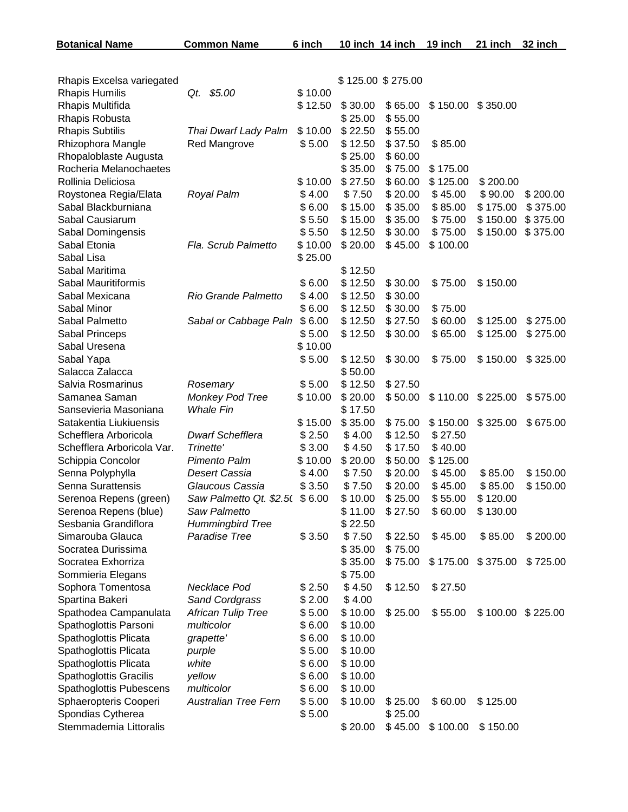| Rhapis Excelsa variegated     |                             |         | \$125.00 \$275.00  |         |          |                     |          |
|-------------------------------|-----------------------------|---------|--------------------|---------|----------|---------------------|----------|
| Rhapis Humilis                | Qt. \$5.00                  | \$10.00 |                    |         |          |                     |          |
| Rhapis Multifida              |                             | \$12.50 | \$30.00            | \$65.00 |          | $$150.00$ $$350.00$ |          |
| Rhapis Robusta                |                             |         | \$25.00            | \$55.00 |          |                     |          |
| <b>Rhapis Subtilis</b>        | Thai Dwarf Lady Palm        | \$10.00 | \$22.50            | \$55.00 |          |                     |          |
| Rhizophora Mangle             | Red Mangrove                | \$5.00  | \$12.50            | \$37.50 | \$85.00  |                     |          |
| Rhopaloblaste Augusta         |                             |         | \$25.00            | \$60.00 |          |                     |          |
| Rocheria Melanochaetes        |                             |         | \$35.00            | \$75.00 | \$175.00 |                     |          |
| Rollinia Deliciosa            |                             | \$10.00 | \$27.50            | \$60.00 | \$125.00 | \$200.00            |          |
| Roystonea Regia/Elata         | Royal Palm                  | \$4.00  | \$7.50             | \$20.00 | \$45.00  | \$90.00             | \$200.00 |
| Sabal Blackburniana           |                             | \$6.00  | \$15.00            | \$35.00 | \$85.00  | \$175.00            | \$375.00 |
| Sabal Causiarum               |                             | \$5.50  | \$15.00            | \$35.00 | \$75.00  | \$150.00            | \$375.00 |
| Sabal Domingensis             |                             | \$5.50  | \$12.50            | \$30.00 | \$75.00  | \$150.00            | \$375.00 |
| Sabal Etonia                  | Fla. Scrub Palmetto         | \$10.00 | \$20.00            | \$45.00 | \$100.00 |                     |          |
| Sabal Lisa                    |                             | \$25.00 |                    |         |          |                     |          |
| Sabal Maritima                |                             |         |                    |         |          |                     |          |
| Sabal Mauritiformis           |                             | \$6.00  | \$12.50<br>\$12.50 | \$30.00 |          | \$150.00            |          |
|                               | Rio Grande Palmetto         | \$4.00  | \$12.50            |         | \$75.00  |                     |          |
| Sabal Mexicana                |                             |         |                    | \$30.00 |          |                     |          |
| Sabal Minor                   |                             | \$6.00  | \$12.50            | \$30.00 | \$75.00  |                     |          |
| Sabal Palmetto                | Sabal or Cabbage Paln       | \$6.00  | \$12.50            | \$27.50 | \$60.00  | \$125.00            | \$275.00 |
| Sabal Princeps                |                             | \$5.00  | \$12.50            | \$30.00 | \$65.00  | \$125.00            | \$275.00 |
| Sabal Uresena                 |                             | \$10.00 |                    |         |          |                     |          |
| Sabal Yapa                    |                             | \$5.00  | \$12.50            | \$30.00 | \$75.00  | \$150.00            | \$325.00 |
| Salacca Zalacca               |                             |         | \$50.00            |         |          |                     |          |
| Salvia Rosmarinus             | Rosemary                    | \$5.00  | \$12.50            | \$27.50 |          |                     |          |
| Samanea Saman                 | Monkey Pod Tree             | \$10.00 | \$20.00            | \$50.00 | \$110.00 | \$225.00            | \$575.00 |
| Sansevieria Masoniana         | <b>Whale Fin</b>            |         | \$17.50            |         |          |                     |          |
| Satakentia Liukiuensis        |                             | \$15.00 | \$35.00            | \$75.00 | \$150.00 | \$325.00            | \$675.00 |
| Schefflera Arboricola         | <b>Dwarf Schefflera</b>     | \$2.50  | \$4.00             | \$12.50 | \$27.50  |                     |          |
| Schefflera Arboricola Var.    | Trinette'                   | \$3.00  | \$4.50             | \$17.50 | \$40.00  |                     |          |
| Schippia Concolor             | Pimento Palm                | \$10.00 | \$20.00            | \$50.00 | \$125.00 |                     |          |
| Senna Polyphylla              | Desert Cassia               | \$4.00  | \$7.50             | \$20.00 | \$45.00  | \$85.00             | \$150.00 |
| Senna Surattensis             | Glaucous Cassia             | \$3.50  | \$7.50             | \$20.00 | \$45.00  | \$85.00             | \$150.00 |
| Serenoa Repens (green)        | Saw Palmetto Qt. \$2.5(     | \$6.00  | \$10.00            | \$25.00 | \$55.00  | \$120.00            |          |
| Serenoa Repens (blue)         | Saw Palmetto                |         | \$11.00            | \$27.50 | \$60.00  | \$130.00            |          |
| Sesbania Grandiflora          | <b>Hummingbird Tree</b>     |         | \$22.50            |         |          |                     |          |
| Simarouba Glauca              | Paradise Tree               | \$3.50  | \$7.50             | \$22.50 | \$45.00  | \$85.00             | \$200.00 |
| Socratea Durissima            |                             |         | \$35.00            | \$75.00 |          |                     |          |
| Socratea Exhorriza            |                             |         | \$35.00            | \$75.00 | \$175.00 | \$375.00            | \$725.00 |
| Sommieria Elegans             |                             |         | \$75.00            |         |          |                     |          |
| Sophora Tomentosa             | Necklace Pod                | \$2.50  | \$4.50             | \$12.50 | \$27.50  |                     |          |
| Spartina Bakeri               | Sand Cordgrass              | \$2.00  | \$4.00             |         |          |                     |          |
| Spathodea Campanulata         | <b>African Tulip Tree</b>   | \$5.00  | \$10.00            | \$25.00 | \$55.00  | $$100.00$ $$225.00$ |          |
| Spathoglottis Parsoni         | multicolor                  | \$6.00  | \$10.00            |         |          |                     |          |
| Spathoglottis Plicata         | grapette'                   | \$6.00  | \$10.00            |         |          |                     |          |
| Spathoglottis Plicata         | purple                      | \$5.00  | \$10.00            |         |          |                     |          |
| Spathoglottis Plicata         | white                       | \$6.00  | \$10.00            |         |          |                     |          |
| <b>Spathoglottis Gracilis</b> | yellow                      | \$6.00  | \$10.00            |         |          |                     |          |
| Spathoglottis Pubescens       | multicolor                  | \$6.00  | \$10.00            |         |          |                     |          |
| Sphaeropteris Cooperi         | <b>Australian Tree Fern</b> | \$5.00  | \$10.00            | \$25.00 | \$60.00  | \$125.00            |          |
| Spondias Cytherea             |                             | \$5.00  |                    | \$25.00 |          |                     |          |
| Stemmademia Littoralis        |                             |         | \$20.00            | \$45.00 | \$100.00 | \$150.00            |          |

**Botanical Name Common Name 6 inch 10 inch 14 inch 19 inch 21 inch 32 inch**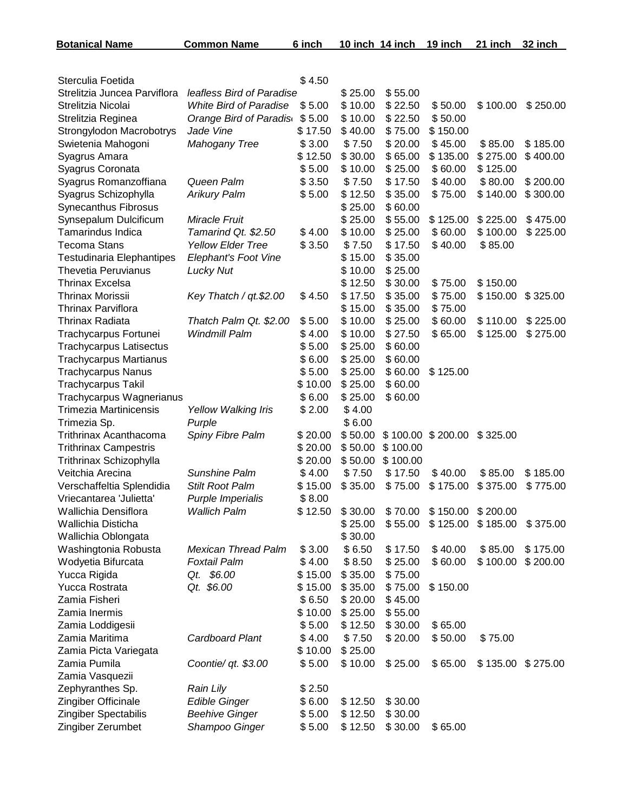| <b>Botanical Name</b>                                           | <b>Common Name</b>            | 6 inch           |                    | 10 inch 14 inch    | 19 inch  | 21 inch  | 32 inch  |
|-----------------------------------------------------------------|-------------------------------|------------------|--------------------|--------------------|----------|----------|----------|
|                                                                 |                               |                  |                    |                    |          |          |          |
| Sterculia Foetida                                               |                               | \$4.50           |                    |                    |          |          |          |
| Strelitzia Juncea Parviflora                                    | leafless Bird of Paradise     |                  | \$25.00            | \$55.00            |          |          |          |
| Strelitzia Nicolai                                              | <b>White Bird of Paradise</b> | \$5.00           | \$10.00            | \$22.50            | \$50.00  | \$100.00 | \$250.00 |
| Strelitzia Reginea                                              | Orange Bird of Paradis        | \$5.00           | \$10.00            | \$22.50            | \$50.00  |          |          |
| Strongylodon Macrobotrys                                        | Jade Vine                     | \$17.50          | \$40.00            | \$75.00            | \$150.00 |          |          |
| Swietenia Mahogoni                                              | <b>Mahogany Tree</b>          | \$3.00           | \$7.50             | \$20.00            | \$45.00  | \$85.00  | \$185.00 |
| Syagrus Amara                                                   |                               | \$12.50          | \$30.00            | \$65.00            | \$135.00 | \$275.00 | \$400.00 |
| Syagrus Coronata                                                |                               | \$5.00           | \$10.00            | \$25.00            | \$60.00  | \$125.00 |          |
| Syagrus Romanzoffiana                                           | Queen Palm                    | \$3.50           | \$7.50             | \$17.50            | \$40.00  | \$80.00  | \$200.00 |
| Syagrus Schizophylla                                            | <b>Arikury Palm</b>           | \$5.00           | \$12.50            | \$35.00            | \$75.00  | \$140.00 | \$300.00 |
| Synecanthus Fibrosus                                            |                               |                  | \$25.00            | \$60.00            |          |          |          |
| Synsepalum Dulcificum                                           | Miracle Fruit                 |                  | \$25.00            | \$55.00            | \$125.00 | \$225.00 | \$475.00 |
| <b>Tamarindus Indica</b>                                        | Tamarind Qt. \$2.50           | \$4.00           | \$10.00            | \$25.00            | \$60.00  | \$100.00 | \$225.00 |
| <b>Tecoma Stans</b>                                             | <b>Yellow Elder Tree</b>      | \$3.50           | \$7.50             | \$17.50            | \$40.00  | \$85.00  |          |
| <b>Testudinaria Elephantipes</b>                                | Elephant's Foot Vine          |                  | \$15.00            | \$35.00            |          |          |          |
| <b>Thevetia Peruvianus</b>                                      | <b>Lucky Nut</b>              |                  | \$10.00            | \$25.00            |          |          |          |
| <b>Thrinax Excelsa</b>                                          |                               |                  | \$12.50            | \$30.00            | \$75.00  | \$150.00 |          |
| <b>Thrinax Morissii</b>                                         | Key Thatch / qt.\$2.00        | \$4.50           | \$17.50            | \$35.00            | \$75.00  | \$150.00 | \$325.00 |
| <b>Thrinax Parviflora</b>                                       |                               |                  | \$15.00            | \$35.00            | \$75.00  |          |          |
| <b>Thrinax Radiata</b>                                          | Thatch Palm Qt. \$2.00        | \$5.00           | \$10.00            | \$25.00            | \$60.00  | \$110.00 | \$225.00 |
| Trachycarpus Fortunei                                           | <b>Windmill Palm</b>          | \$4.00<br>\$5.00 | \$10.00<br>\$25.00 | \$27.50<br>\$60.00 | \$65.00  | \$125.00 | \$275.00 |
| <b>Trachycarpus Latisectus</b><br><b>Trachycarpus Martianus</b> |                               | \$6.00           | \$25.00            | \$60.00            |          |          |          |
| <b>Trachycarpus Nanus</b>                                       |                               | \$5.00           | \$25.00            | \$60.00            | \$125.00 |          |          |
| <b>Trachycarpus Takil</b>                                       |                               | \$10.00          | \$25.00            | \$60.00            |          |          |          |
| Trachycarpus Wagnerianus                                        |                               | \$6.00           | \$25.00            | \$60.00            |          |          |          |
| <b>Trimezia Martinicensis</b>                                   | Yellow Walking Iris           | \$2.00           | \$4.00             |                    |          |          |          |
| Trimezia Sp.                                                    | Purple                        |                  | \$6.00             |                    |          |          |          |
| <b>Trithrinax Acanthacoma</b>                                   | Spiny Fibre Palm              | \$20.00          | \$50.00            | \$100.00           | \$200.00 | \$325.00 |          |
| <b>Trithrinax Campestris</b>                                    |                               | \$20.00          | \$50.00            | \$100.00           |          |          |          |
| Trithrinax Schizophylla                                         |                               | \$20.00          | \$50.00            | \$100.00           |          |          |          |
| Veitchia Arecina                                                | Sunshine Palm                 | \$4.00           | \$7.50             | \$17.50            | \$40.00  | \$85.00  | \$185.00 |
| Verschaffeltia Splendidia                                       | Stilt Root Palm               | \$15.00          | \$35.00            | \$75.00            | \$175.00 | \$375.00 | \$775.00 |
| Vriecantarea 'Julietta'                                         | Purple Imperialis             | \$8.00           |                    |                    |          |          |          |
| Wallichia Densiflora                                            | <b>Wallich Palm</b>           | \$12.50          | \$30.00            | \$70.00            | \$150.00 | \$200.00 |          |
| Wallichia Disticha                                              |                               |                  | \$25.00            | \$55.00            | \$125.00 | \$185.00 | \$375.00 |
| Wallichia Oblongata                                             |                               |                  | \$30.00            |                    |          |          |          |
| Washingtonia Robusta                                            | <b>Mexican Thread Palm</b>    | \$3.00           | \$6.50             | \$17.50            | \$40.00  | \$85.00  | \$175.00 |
| Wodyetia Bifurcata                                              | <b>Foxtail Palm</b>           | \$4.00           | \$8.50             | \$25.00            | \$60.00  | \$100.00 | \$200.00 |
| Yucca Rigida                                                    | Qt. \$6.00                    | \$15.00          | \$35.00            | \$75.00            |          |          |          |
| Yucca Rostrata                                                  | Qt. \$6.00                    | \$15.00          | \$35.00            | \$75.00            | \$150.00 |          |          |
| Zamia Fisheri                                                   |                               | \$6.50           | \$20.00            | \$45.00            |          |          |          |
| Zamia Inermis                                                   |                               | \$10.00          | \$25.00            | \$55.00            |          |          |          |
| Zamia Loddigesii                                                |                               | \$5.00           | \$12.50            | \$30.00            | \$65.00  |          |          |
| Zamia Maritima                                                  | Cardboard Plant               | \$4.00           | \$7.50             | \$20.00            | \$50.00  | \$75.00  |          |
| Zamia Picta Variegata                                           |                               | \$10.00          | \$25.00            |                    |          |          |          |
| Zamia Pumila                                                    | Coontie/ qt. \$3.00           | \$5.00           | \$10.00            | \$25.00            | \$65.00  | \$135.00 | \$275.00 |
| Zamia Vasquezii<br>Zephyranthes Sp.                             | <b>Rain Lily</b>              | \$2.50           |                    |                    |          |          |          |
| Zingiber Officinale                                             | <b>Edible Ginger</b>          | \$6.00           | \$12.50            | \$30.00            |          |          |          |
| Zingiber Spectabilis                                            | <b>Beehive Ginger</b>         | \$5.00           | \$12.50            | \$30.00            |          |          |          |
| Zingiber Zerumbet                                               | Shampoo Ginger                | \$5.00           | \$12.50            | \$30.00            | \$65.00  |          |          |
|                                                                 |                               |                  |                    |                    |          |          |          |